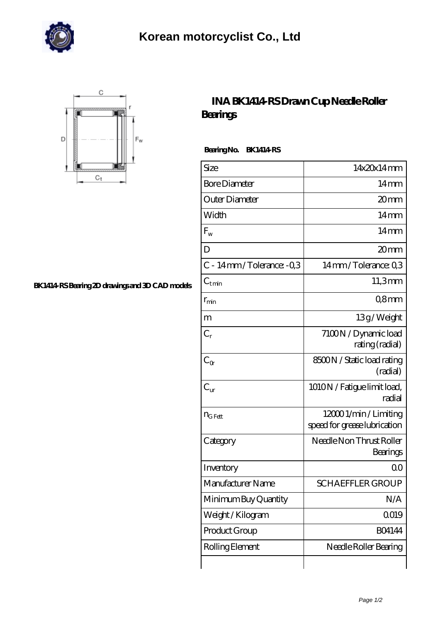



## **[BK1414-RS Bearing 2D drawings and 3D CAD models](https://m.johnsparagana.com/pic-310618.html)**

## **[INA BK1414-RS Drawn Cup Needle Roller](https://m.johnsparagana.com/be-310618-ina-bk1414-rs-drawn-cup-needle-roller-bearings.html) [Bearings](https://m.johnsparagana.com/be-310618-ina-bk1414-rs-drawn-cup-needle-roller-bearings.html)**

 **Bearing No. BK1414-RS**

| Size                    | 14x20x14mm                                             |
|-------------------------|--------------------------------------------------------|
| <b>Bore Diameter</b>    | 14 <sub>mm</sub>                                       |
| Outer Diameter          | 20mm                                                   |
| Width                   | $14 \text{mm}$                                         |
| $F_{w}$                 | $14 \text{mm}$                                         |
| D                       | 20mm                                                   |
| C - 14mm/Tolerance: -03 | 14mm/Tolerance: Q3                                     |
| $\rm C_{t\,min}$        | 11,3mm                                                 |
| $r_{\rm min}$           | 08 <sub>mm</sub>                                       |
| m                       | 13g/Weight                                             |
| $C_r$                   | 7100N / Dynamic load<br>rating (radial)                |
| $C_{\alpha}$            | 8500N / Static load rating<br>(radial)                 |
| $C_{\text{tr}}$         | 1010N / Fatigue limit load,<br>radial                  |
| $n_{G Fett}$            | 12000 1/min / Limiting<br>speed for grease lubrication |
| Category                | Needle Non Thrust Roller<br>Bearings                   |
| Inventory               | 0 <sup>0</sup>                                         |
| Manufacturer Name       | <b>SCHAEFFLER GROUP</b>                                |
| Minimum Buy Quantity    | N/A                                                    |
| Weight / Kilogram       | Q019                                                   |
| Product Group           | <b>BO4144</b>                                          |
| Rolling Element         | Needle Roller Bearing                                  |
|                         |                                                        |